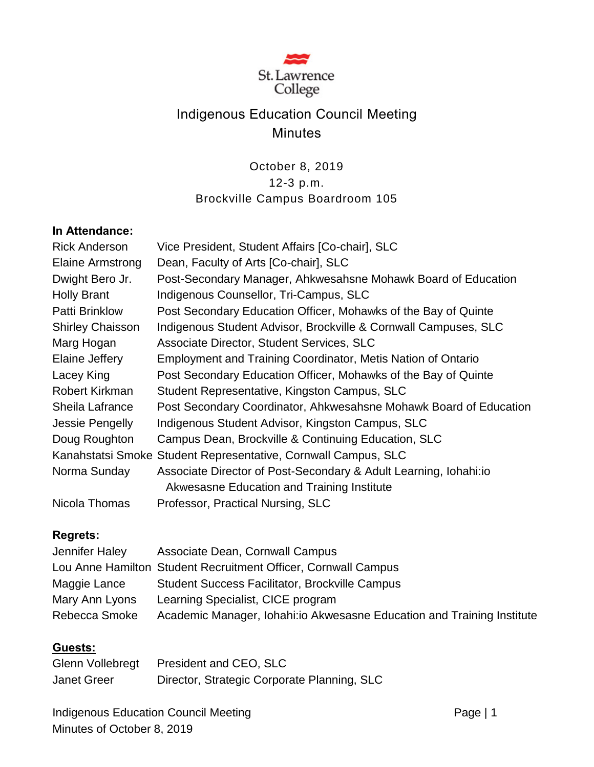

# Indigenous Education Council Meeting **Minutes**

# October 8, 2019 12-3 p.m. Brockville Campus Boardroom 105

#### **In Attendance:**

| <b>Rick Anderson</b>    | Vice President, Student Affairs [Co-chair], SLC                     |
|-------------------------|---------------------------------------------------------------------|
| <b>Elaine Armstrong</b> | Dean, Faculty of Arts [Co-chair], SLC                               |
| Dwight Bero Jr.         | Post-Secondary Manager, Ahkwesahsne Mohawk Board of Education       |
| <b>Holly Brant</b>      | Indigenous Counsellor, Tri-Campus, SLC                              |
| <b>Patti Brinklow</b>   | Post Secondary Education Officer, Mohawks of the Bay of Quinte      |
| <b>Shirley Chaisson</b> | Indigenous Student Advisor, Brockville & Cornwall Campuses, SLC     |
| Marg Hogan              | Associate Director, Student Services, SLC                           |
| Elaine Jeffery          | <b>Employment and Training Coordinator, Metis Nation of Ontario</b> |
| Lacey King              | Post Secondary Education Officer, Mohawks of the Bay of Quinte      |
| Robert Kirkman          | Student Representative, Kingston Campus, SLC                        |
| Sheila Lafrance         | Post Secondary Coordinator, Ahkwesahsne Mohawk Board of Education   |
| Jessie Pengelly         | Indigenous Student Advisor, Kingston Campus, SLC                    |
| Doug Roughton           | Campus Dean, Brockville & Continuing Education, SLC                 |
|                         | Kanahstatsi Smoke Student Representative, Cornwall Campus, SLC      |
| Norma Sunday            | Associate Director of Post-Secondary & Adult Learning, Iohahi:io    |
|                         | Akwesasne Education and Training Institute                          |
| Nicola Thomas           | Professor, Practical Nursing, SLC                                   |

## **Regrets:**

| Jennifer Haley | Associate Dean, Cornwall Campus                                         |
|----------------|-------------------------------------------------------------------------|
|                | Lou Anne Hamilton Student Recruitment Officer, Cornwall Campus          |
| Maggie Lance   | <b>Student Success Facilitator, Brockville Campus</b>                   |
| Mary Ann Lyons | Learning Specialist, CICE program                                       |
| Rebecca Smoke  | Academic Manager, Iohahi: io Akwesasne Education and Training Institute |

#### **Guests:**

|                    | Glenn Vollebregt President and CEO, SLC     |
|--------------------|---------------------------------------------|
| <b>Janet Greer</b> | Director, Strategic Corporate Planning, SLC |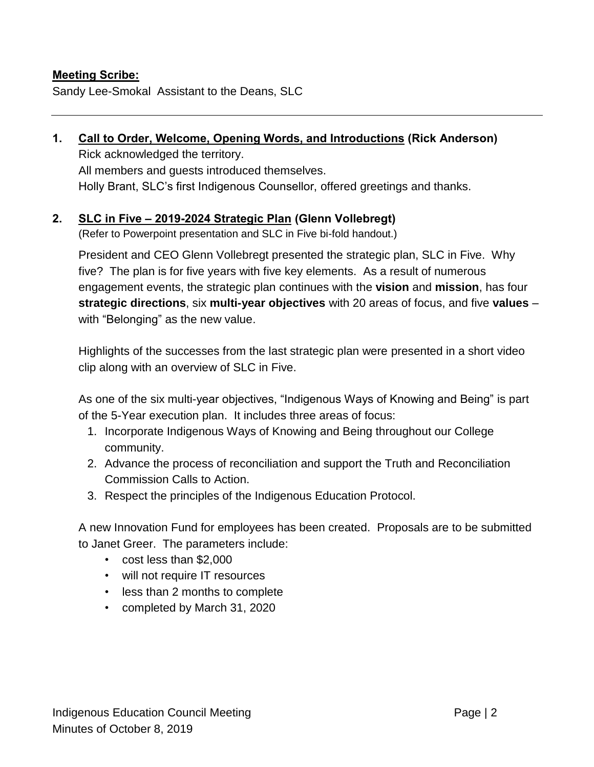#### **Meeting Scribe:**

Sandy Lee-Smokal Assistant to the Deans, SLC

# **1. Call to Order, Welcome, Opening Words, and Introductions (Rick Anderson)**

Rick acknowledged the territory. All members and guests introduced themselves. Holly Brant, SLC's first Indigenous Counsellor, offered greetings and thanks.

#### **2. SLC in Five – 2019-2024 Strategic Plan (Glenn Vollebregt)**

(Refer to Powerpoint presentation and SLC in Five bi-fold handout.)

President and CEO Glenn Vollebregt presented the strategic plan, SLC in Five. Why five? The plan is for five years with five key elements. As a result of numerous engagement events, the strategic plan continues with the **vision** and **mission**, has four **strategic directions**, six **multi-year objectives** with 20 areas of focus, and five **values** – with "Belonging" as the new value.

Highlights of the successes from the last strategic plan were presented in a short video clip along with an overview of SLC in Five.

As one of the six multi-year objectives, "Indigenous Ways of Knowing and Being" is part of the 5-Year execution plan. It includes three areas of focus:

- 1. Incorporate Indigenous Ways of Knowing and Being throughout our College community.
- 2. Advance the process of reconciliation and support the Truth and Reconciliation Commission Calls to Action.
- 3. Respect the principles of the Indigenous Education Protocol.

A new Innovation Fund for employees has been created. Proposals are to be submitted to Janet Greer. The parameters include:

- cost less than \$2,000
- will not require IT resources
- less than 2 months to complete
- completed by March 31, 2020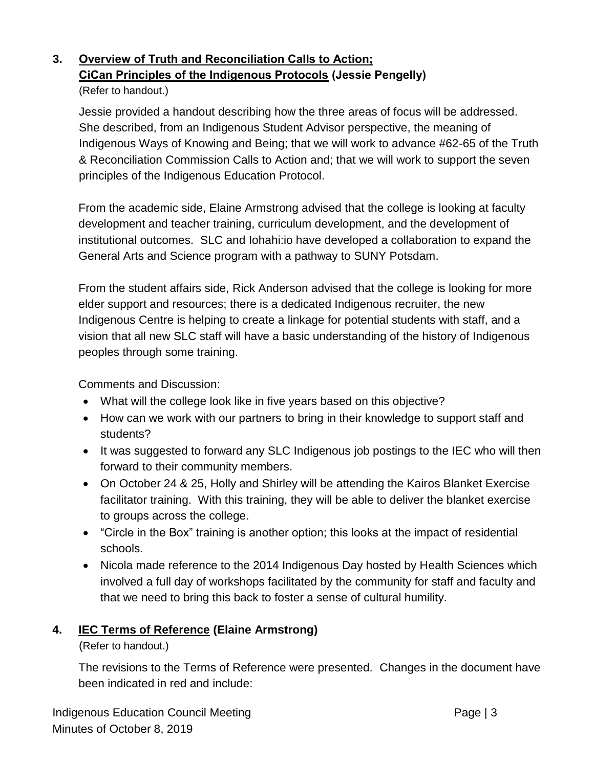# **3. Overview of Truth and Reconciliation Calls to Action; CiCan Principles of the Indigenous Protocols (Jessie Pengelly)**

#### (Refer to handout.)

Jessie provided a handout describing how the three areas of focus will be addressed. She described, from an Indigenous Student Advisor perspective, the meaning of Indigenous Ways of Knowing and Being; that we will work to advance #62-65 of the Truth & Reconciliation Commission Calls to Action and; that we will work to support the seven principles of the Indigenous Education Protocol.

From the academic side, Elaine Armstrong advised that the college is looking at faculty development and teacher training, curriculum development, and the development of institutional outcomes. SLC and Iohahi:io have developed a collaboration to expand the General Arts and Science program with a pathway to SUNY Potsdam.

From the student affairs side, Rick Anderson advised that the college is looking for more elder support and resources; there is a dedicated Indigenous recruiter, the new Indigenous Centre is helping to create a linkage for potential students with staff, and a vision that all new SLC staff will have a basic understanding of the history of Indigenous peoples through some training.

Comments and Discussion:

- What will the college look like in five years based on this objective?
- How can we work with our partners to bring in their knowledge to support staff and students?
- It was suggested to forward any SLC Indigenous job postings to the IEC who will then forward to their community members.
- On October 24 & 25, Holly and Shirley will be attending the Kairos Blanket Exercise facilitator training. With this training, they will be able to deliver the blanket exercise to groups across the college.
- "Circle in the Box" training is another option; this looks at the impact of residential schools.
- Nicola made reference to the 2014 Indigenous Day hosted by Health Sciences which involved a full day of workshops facilitated by the community for staff and faculty and that we need to bring this back to foster a sense of cultural humility.

## **4. IEC Terms of Reference (Elaine Armstrong)**

(Refer to handout.)

The revisions to the Terms of Reference were presented. Changes in the document have been indicated in red and include: